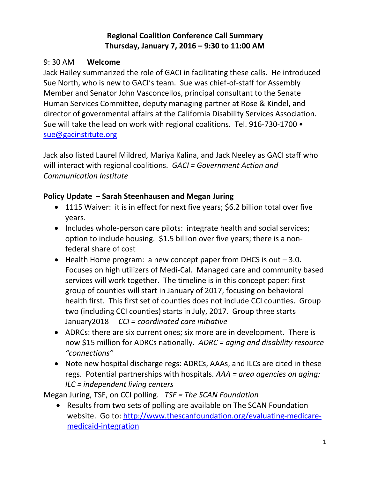# **Regional Coalition Conference Call Summary Thursday, January 7, 2016 – 9:30 to 11:00 AM**

## 9: 30 AM **Welcome**

Jack Hailey summarized the role of GACI in facilitating these calls. He introduced Sue North, who is new to GACI's team. Sue was chief-of-staff for Assembly Member and Senator John Vasconcellos, principal consultant to the Senate Human Services Committee, deputy managing partner at Rose & Kindel, and director of governmental affairs at the California Disability Services Association. Sue will take the lead on work with regional coalitions. Tel. 916-730-1700 • [sue@gacinstitute.org](mailto:sue@gacinstitute.org)

Jack also listed Laurel Mildred, Mariya Kalina, and Jack Neeley as GACI staff who will interact with regional coalitions. *GACI = Government Action and Communication Institute*

# **Policy Update – Sarah Steenhausen and Megan Juring**

- 1115 Waiver: it is in effect for next five years; \$6.2 billion total over five years.
- Includes whole-person care pilots: integrate health and social services; option to include housing. \$1.5 billion over five years; there is a nonfederal share of cost
- $\bullet$  Health Home program: a new concept paper from DHCS is out  $-3.0$ . Focuses on high utilizers of Medi-Cal. Managed care and community based services will work together. The timeline is in this concept paper: first group of counties will start in January of 2017, focusing on behavioral health first. This first set of counties does not include CCI counties. Group two (including CCI counties) starts in July, 2017. Group three starts January2018 *CCI = coordinated care initiative*
- ADRCs: there are six current ones; six more are in development. There is now \$15 million for ADRCs nationally. *ADRC = aging and disability resource "connections"*
- Note new hospital discharge regs: ADRCs, AAAs, and ILCs are cited in these regs. Potential partnerships with hospitals. *AAA = area agencies on aging; ILC = independent living centers*

Megan Juring, TSF, on CCI polling. *TSF = The SCAN Foundation*

• Results from two sets of polling are available on The SCAN Foundation website. Go to: [http://www.thescanfoundation.org/evaluating-medicare](http://www.thescanfoundation.org/evaluating-medicare-medicaid-integration)[medicaid-integration](http://www.thescanfoundation.org/evaluating-medicare-medicaid-integration)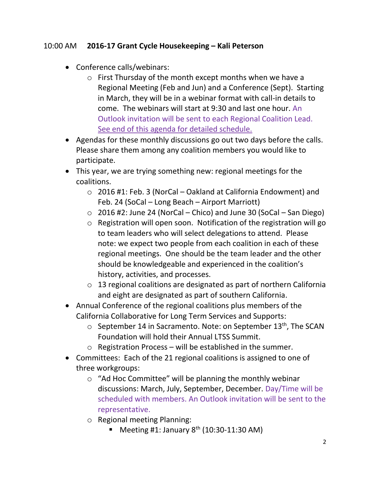#### 10:00 AM **2016-17 Grant Cycle Housekeeping – Kali Peterson**

- Conference calls/webinars:
	- o First Thursday of the month except months when we have a Regional Meeting (Feb and Jun) and a Conference (Sept). Starting in March, they will be in a webinar format with call-in details to come. The webinars will start at 9:30 and last one hour. An Outlook invitation will be sent to each Regional Coalition Lead. See end of this agenda for detailed schedule.
- Agendas for these monthly discussions go out two days before the calls. Please share them among any coalition members you would like to participate.
- This year, we are trying something new: regional meetings for the coalitions.
	- o 2016 #1: Feb. 3 (NorCal Oakland at California Endowment) and Feb. 24 (SoCal – Long Beach – Airport Marriott)
	- $\circ$  2016 #2: June 24 (NorCal Chico) and June 30 (SoCal San Diego)
	- o Registration will open soon. Notification of the registration will go to team leaders who will select delegations to attend. Please note: we expect two people from each coalition in each of these regional meetings. One should be the team leader and the other should be knowledgeable and experienced in the coalition's history, activities, and processes.
	- o 13 regional coalitions are designated as part of northern California and eight are designated as part of southern California.
- Annual Conference of the regional coalitions plus members of the California Collaborative for Long Term Services and Supports:
	- $\circ$  September 14 in Sacramento. Note: on September 13<sup>th</sup>, The SCAN Foundation will hold their Annual LTSS Summit.
	- $\circ$  Registration Process will be established in the summer.
- Committees: Each of the 21 regional coalitions is assigned to one of three workgroups:
	- o "Ad Hoc Committee" will be planning the monthly webinar discussions: March, July, September, December. Day/Time will be scheduled with members. An Outlook invitation will be sent to the representative.
	- o Regional meeting Planning:
		- **Meeting #1: January 8<sup>th</sup> (10:30-11:30 AM)**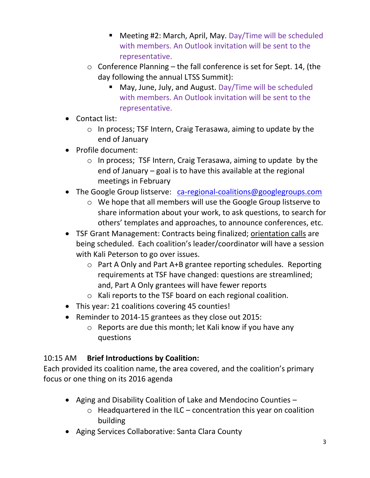- Meeting #2: March, April, May. Day/Time will be scheduled with members. An Outlook invitation will be sent to the representative.
- o Conference Planning the fall conference is set for Sept. 14, (the day following the annual LTSS Summit):
	- May, June, July, and August. Day/Time will be scheduled with members. An Outlook invitation will be sent to the representative.
- Contact list:
	- o In process; TSF Intern, Craig Terasawa, aiming to update by the end of January
- Profile document:
	- o In process; TSF Intern, Craig Terasawa, aiming to update by the end of January – goal is to have this available at the regional meetings in February
- The Google Group listserve: [ca-regional-coalitions@googlegroups.com](mailto:ca-regional-coalitions@googlegroups.com)
	- o We hope that all members will use the Google Group listserve to share information about your work, to ask questions, to search for others' templates and approaches, to announce conferences, etc.
- TSF Grant Management: Contracts being finalized; orientation calls are being scheduled. Each coalition's leader/coordinator will have a session with Kali Peterson to go over issues.
	- o Part A Only and Part A+B grantee reporting schedules. Reporting requirements at TSF have changed: questions are streamlined; and, Part A Only grantees will have fewer reports
	- o Kali reports to the TSF board on each regional coalition.
- This year: 21 coalitions covering 45 counties!
- Reminder to 2014-15 grantees as they close out 2015:
	- o Reports are due this month; let Kali know if you have any questions

### 10:15 AM **Brief Introductions by Coalition:**

Each provided its coalition name, the area covered, and the coalition's primary focus or one thing on its 2016 agenda

- Aging and Disability Coalition of Lake and Mendocino Counties
	- $\circ$  Headquartered in the ILC concentration this year on coalition building
- Aging Services Collaborative: Santa Clara County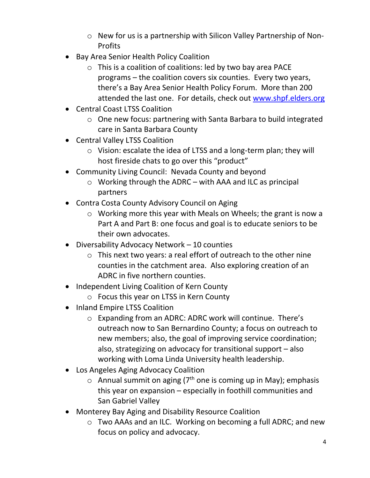- o New for us is a partnership with Silicon Valley Partnership of Non-Profits
- Bay Area Senior Health Policy Coalition
	- o This is a coalition of coalitions: led by two bay area PACE programs – the coalition covers six counties. Every two years, there's a Bay Area Senior Health Policy Forum. More than 200 attended the last one. For details, check out [www.shpf.elders.org](http://www.shpf.elders.org/)
- Central Coast LTSS Coalition
	- o One new focus: partnering with Santa Barbara to build integrated care in Santa Barbara County
- Central Valley LTSS Coalition
	- o Vision: escalate the idea of LTSS and a long-term plan; they will host fireside chats to go over this "product"
- Community Living Council: Nevada County and beyond
	- $\circ$  Working through the ADRC with AAA and ILC as principal partners
- Contra Costa County Advisory Council on Aging
	- o Working more this year with Meals on Wheels; the grant is now a Part A and Part B: one focus and goal is to educate seniors to be their own advocates.
- Diversability Advocacy Network 10 counties
	- $\circ$  This next two years: a real effort of outreach to the other nine counties in the catchment area. Also exploring creation of an ADRC in five northern counties.
- Independent Living Coalition of Kern County
	- o Focus this year on LTSS in Kern County
- Inland Empire LTSS Coalition
	- o Expanding from an ADRC: ADRC work will continue. There's outreach now to San Bernardino County; a focus on outreach to new members; also, the goal of improving service coordination; also, strategizing on advocacy for transitional support – also working with Loma Linda University health leadership.
- Los Angeles Aging Advocacy Coalition
	- $\circ$  Annual summit on aging ( $7<sup>th</sup>$  one is coming up in May); emphasis this year on expansion – especially in foothill communities and San Gabriel Valley
- Monterey Bay Aging and Disability Resource Coalition
	- o Two AAAs and an ILC. Working on becoming a full ADRC; and new focus on policy and advocacy.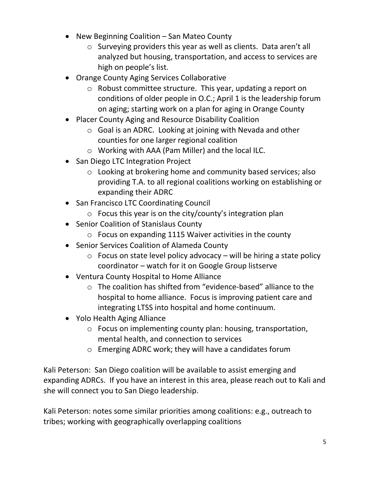- New Beginning Coalition San Mateo County
	- o Surveying providers this year as well as clients. Data aren't all analyzed but housing, transportation, and access to services are high on people's list.
- Orange County Aging Services Collaborative
	- o Robust committee structure. This year, updating a report on conditions of older people in O.C.; April 1 is the leadership forum on aging; starting work on a plan for aging in Orange County
- Placer County Aging and Resource Disability Coalition
	- o Goal is an ADRC. Looking at joining with Nevada and other counties for one larger regional coalition
	- o Working with AAA (Pam Miller) and the local ILC.
- San Diego LTC Integration Project
	- o Looking at brokering home and community based services; also providing T.A. to all regional coalitions working on establishing or expanding their ADRC
- San Francisco LTC Coordinating Council
	- o Focus this year is on the city/county's integration plan
- **•** Senior Coalition of Stanislaus County
	- o Focus on expanding 1115 Waiver activities in the county
- Senior Services Coalition of Alameda County
	- $\circ$  Focus on state level policy advocacy will be hiring a state policy coordinator – watch for it on Google Group listserve
- Ventura County Hospital to Home Alliance
	- o The coalition has shifted from "evidence-based" alliance to the hospital to home alliance. Focus is improving patient care and integrating LTSS into hospital and home continuum.
- Yolo Health Aging Alliance
	- o Focus on implementing county plan: housing, transportation, mental health, and connection to services
	- o Emerging ADRC work; they will have a candidates forum

Kali Peterson: San Diego coalition will be available to assist emerging and expanding ADRCs. If you have an interest in this area, please reach out to Kali and she will connect you to San Diego leadership.

Kali Peterson: notes some similar priorities among coalitions: e.g., outreach to tribes; working with geographically overlapping coalitions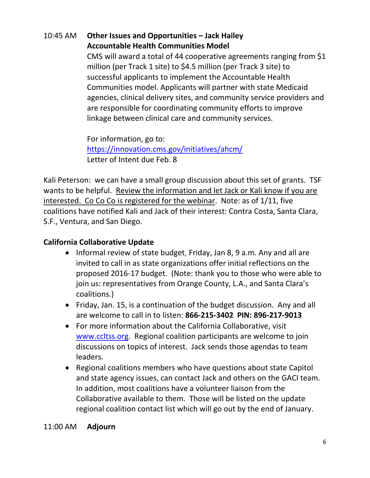# 10:45 AM **Other Issues and Opportunities – Jack Hailey Accountable Health Communities Model**

CMS will award a total of 44 cooperative agreements ranging from \$1 million (per Track 1 site) to \$4.5 million (per Track 3 site) to successful applicants to implement the Accountable Health Communities model. Applicants will partner with state Medicaid agencies, clinical delivery sites, and community service providers and are responsible for coordinating community efforts to improve linkage between clinical care and community services.

For information, go to: <https://innovation.cms.gov/initiatives/ahcm/> Letter of Intent due Feb. 8

Kali Peterson: we can have a small group discussion about this set of grants. TSF wants to be helpful. Review the information and let Jack or Kali know if you are interested. Co Co Co is registered for the webinar. Note: as of 1/11, five coalitions have notified Kali and Jack of their interest: Contra Costa, Santa Clara, S.F., Ventura, and San Diego.

### **California Collaborative Update**

- Informal review of state budget, Friday, Jan 8, 9 a.m. Any and all are invited to call in as state organizations offer initial reflections on the proposed 2016-17 budget. (Note: thank you to those who were able to join us: representatives from Orange County, L.A., and Santa Clara's coalitions.)
- Friday, Jan. 15, is a continuation of the budget discussion. Any and all are welcome to call in to listen: **866-215-3402 PIN: 896-217-9013**
- For more information about the California Collaborative, visit [www.ccltss.org.](http://www.ccltss.org/) Regional coalition participants are welcome to join discussions on topics of interest. Jack sends those agendas to team leaders.
- Regional coalitions members who have questions about state Capitol and state agency issues, can contact Jack and others on the GACI team. In addition, most coalitions have a volunteer liaison from the Collaborative available to them. Those will be listed on the update regional coalition contact list which will go out by the end of January.

#### 11:00 AM **Adjourn**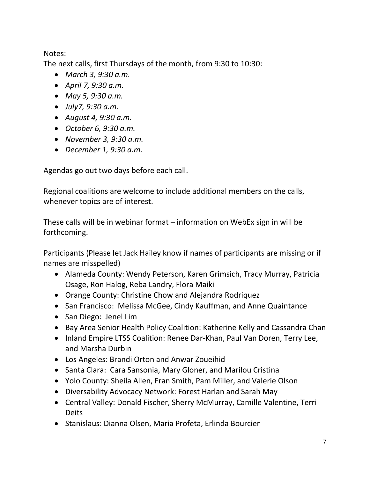### Notes:

The next calls, first Thursdays of the month, from 9:30 to 10:30:

- *March 3, 9:30 a.m.*
- *April 7, 9:30 a.m.*
- *May 5, 9:30 a.m.*
- *July7, 9:30 a.m.*
- *August 4, 9:30 a.m.*
- *October 6, 9:30 a.m.*
- *November 3, 9:30 a.m.*
- *December 1, 9:30 a.m.*

Agendas go out two days before each call.

Regional coalitions are welcome to include additional members on the calls, whenever topics are of interest.

These calls will be in webinar format – information on WebEx sign in will be forthcoming.

Participants (Please let Jack Hailey know if names of participants are missing or if names are misspelled)

- Alameda County: Wendy Peterson, Karen Grimsich, Tracy Murray, Patricia Osage, Ron Halog, Reba Landry, Flora Maiki
- Orange County: Christine Chow and Alejandra Rodriquez
- San Francisco: Melissa McGee, Cindy Kauffman, and Anne Quaintance
- San Diego: Jenel Lim
- Bay Area Senior Health Policy Coalition: Katherine Kelly and Cassandra Chan
- Inland Empire LTSS Coalition: Renee Dar-Khan, Paul Van Doren, Terry Lee, and Marsha Durbin
- Los Angeles: Brandi Orton and Anwar Zoueihid
- Santa Clara: Cara Sansonia, Mary Gloner, and Marilou Cristina
- Yolo County: Sheila Allen, Fran Smith, Pam Miller, and Valerie Olson
- Diversability Advocacy Network: Forest Harlan and Sarah May
- Central Valley: Donald Fischer, Sherry McMurray, Camille Valentine, Terri **Deits**
- Stanislaus: Dianna Olsen, Maria Profeta, Erlinda Bourcier